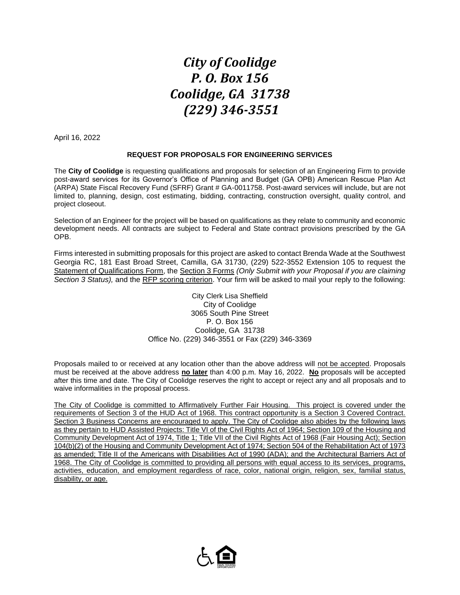## *City of Coolidge P. O. Box 156 Coolidge, GA 31738 (229) 346-3551*

April 16, 2022

## **REQUEST FOR PROPOSALS FOR ENGINEERING SERVICES**

The **City of Coolidge** is requesting qualifications and proposals for selection of an Engineering Firm to provide post-award services for its Governor's Office of Planning and Budget (GA OPB) American Rescue Plan Act (ARPA) State Fiscal Recovery Fund (SFRF) Grant # GA-0011758. Post-award services will include, but are not limited to, planning, design, cost estimating, bidding, contracting, construction oversight, quality control, and project closeout.

Selection of an Engineer for the project will be based on qualifications as they relate to community and economic development needs. All contracts are subject to Federal and State contract provisions prescribed by the GA OPB.

Firms interested in submitting proposals for this project are asked to contact Brenda Wade at the Southwest Georgia RC, 181 East Broad Street, Camilla, GA 31730, (229) 522-3552 Extension 105 to request the Statement of Qualifications Form, the Section 3 Forms *(Only Submit with your Proposal if you are claiming Section 3 Status),* and the RFP scoring criterion. Your firm will be asked to mail your reply to the following:

> City Clerk Lisa Sheffield City of Coolidge 3065 South Pine Street P. O. Box 156 Coolidge, GA 31738 Office No. (229) 346-3551 or Fax (229) 346-3369

Proposals mailed to or received at any location other than the above address will not be accepted. Proposals must be received at the above address **no later** than 4:00 p.m. May 16, 2022. **No** proposals will be accepted after this time and date. The City of Coolidge reserves the right to accept or reject any and all proposals and to waive informalities in the proposal process.

The City of Coolidge is committed to Affirmatively Further Fair Housing. This project is covered under the requirements of Section 3 of the HUD Act of 1968. This contract opportunity is a Section 3 Covered Contract. Section 3 Business Concerns are encouraged to apply. The City of Coolidge also abides by the following laws as they pertain to HUD Assisted Projects: Title VI of the Civil Rights Act of 1964; Section 109 of the Housing and Community Development Act of 1974, Title 1; Title VII of the Civil Rights Act of 1968 (Fair Housing Act); Section 104(b)(2) of the Housing and Community Development Act of 1974; Section 504 of the Rehabilitation Act of 1973 as amended; Title II of the Americans with Disabilities Act of 1990 (ADA); and the Architectural Barriers Act of 1968. The City of Coolidge is committed to providing all persons with equal access to its services, programs, activities, education, and employment regardless of race, color, national origin, religion, sex, familial status, disability, or age.